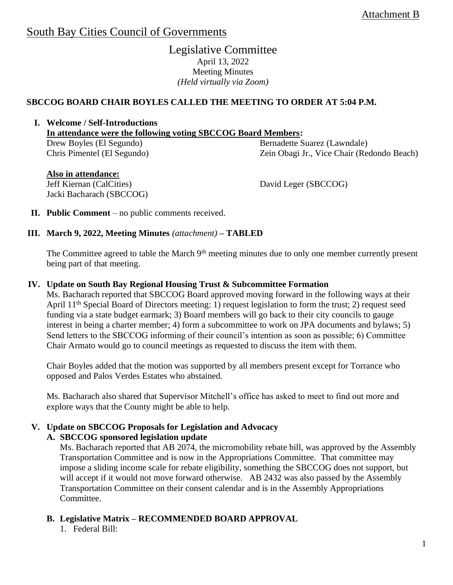# South Bay Cities Council of Governments

# Legislative Committee April 13, 2022 Meeting Minutes *(Held virtually via Zoom)*

# **SBCCOG BOARD CHAIR BOYLES CALLED THE MEETING TO ORDER AT 5:04 P.M.**

#### **I. Welcome / Self-Introductions In attendance were the following voting SBCCOG Board Members:**

Drew Boyles (El Segundo) Chris Pimentel (El Segundo) Bernadette Suarez (Lawndale) Zein Obagi Jr., Vice Chair (Redondo Beach)

# **Also in attendance:**

Jeff Kiernan (CalCities) Jacki Bacharach (SBCCOG) David Leger (SBCCOG)

**II. Public Comment** – no public comments received.

## **III. March 9, 2022, Meeting Minutes** *(attachment)* **– TABLED**

The Committee agreed to table the March 9<sup>th</sup> meeting minutes due to only one member currently present being part of that meeting.

#### **IV. Update on South Bay Regional Housing Trust & Subcommittee Formation**

Ms. Bacharach reported that SBCCOG Board approved moving forward in the following ways at their April 11th Special Board of Directors meeting: 1) request legislation to form the trust; 2) request seed funding via a state budget earmark; 3) Board members will go back to their city councils to gauge interest in being a charter member; 4) form a subcommittee to work on JPA documents and bylaws; 5) Send letters to the SBCCOG informing of their council's intention as soon as possible; 6) Committee Chair Armato would go to council meetings as requested to discuss the item with them.

Chair Boyles added that the motion was supported by all members present except for Torrance who opposed and Palos Verdes Estates who abstained.

Ms. Bacharach also shared that Supervisor Mitchell's office has asked to meet to find out more and explore ways that the County might be able to help.

## **V. Update on SBCCOG Proposals for Legislation and Advocacy**

## **A. SBCCOG sponsored legislation update**

Ms. Bacharach reported that AB 2074, the micromobility rebate bill, was approved by the Assembly Transportation Committee and is now in the Appropriations Committee. That committee may impose a sliding income scale for rebate eligibility, something the SBCCOG does not support, but will accept if it would not move forward otherwise. AB 2432 was also passed by the Assembly Transportation Committee on their consent calendar and is in the Assembly Appropriations Committee.

# **B. Legislative Matrix – RECOMMENDED BOARD APPROVAL**

1. Federal Bill: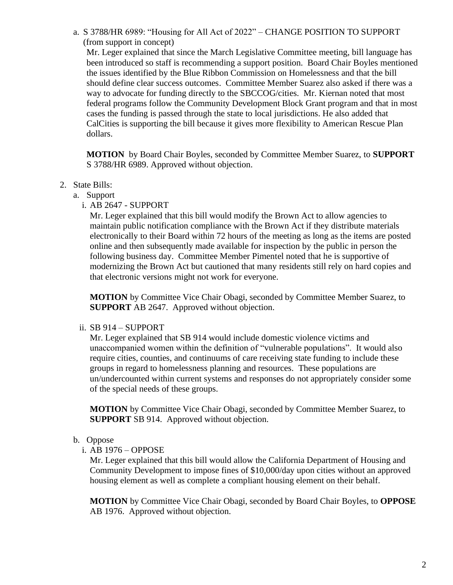a. S 3788/HR 6989: "Housing for All Act of 2022" – CHANGE POSITION TO SUPPORT (from support in concept)

Mr. Leger explained that since the March Legislative Committee meeting, bill language has been introduced so staff is recommending a support position. Board Chair Boyles mentioned the issues identified by the Blue Ribbon Commission on Homelessness and that the bill should define clear success outcomes. Committee Member Suarez also asked if there was a way to advocate for funding directly to the SBCCOG/cities. Mr. Kiernan noted that most federal programs follow the Community Development Block Grant program and that in most cases the funding is passed through the state to local jurisdictions. He also added that CalCities is supporting the bill because it gives more flexibility to American Rescue Plan dollars.

**MOTION** by Board Chair Boyles, seconded by Committee Member Suarez, to **SUPPORT** S 3788/HR 6989. Approved without objection.

## 2. State Bills:

- a. Support
	- i. AB 2647 SUPPORT

Mr. Leger explained that this bill would modify the Brown Act to allow agencies to maintain public notification compliance with the Brown Act if they distribute materials electronically to their Board within 72 hours of the meeting as long as the items are posted online and then subsequently made available for inspection by the public in person the following business day. Committee Member Pimentel noted that he is supportive of modernizing the Brown Act but cautioned that many residents still rely on hard copies and that electronic versions might not work for everyone.

**MOTION** by Committee Vice Chair Obagi, seconded by Committee Member Suarez, to **SUPPORT** AB 2647. Approved without objection.

#### ii. SB 914 – SUPPORT

Mr. Leger explained that SB 914 would include domestic violence victims and unaccompanied women within the definition of "vulnerable populations". It would also require cities, counties, and continuums of care receiving state funding to include these groups in regard to homelessness planning and resources. These populations are un/undercounted within current systems and responses do not appropriately consider some of the special needs of these groups.

**MOTION** by Committee Vice Chair Obagi, seconded by Committee Member Suarez, to **SUPPORT** SB 914. Approved without objection.

#### b. Oppose

i. AB 1976 – OPPOSE

Mr. Leger explained that this bill would allow the California Department of Housing and Community Development to impose fines of \$10,000/day upon cities without an approved housing element as well as complete a compliant housing element on their behalf.

**MOTION** by Committee Vice Chair Obagi, seconded by Board Chair Boyles, to **OPPOSE**  AB 1976. Approved without objection.